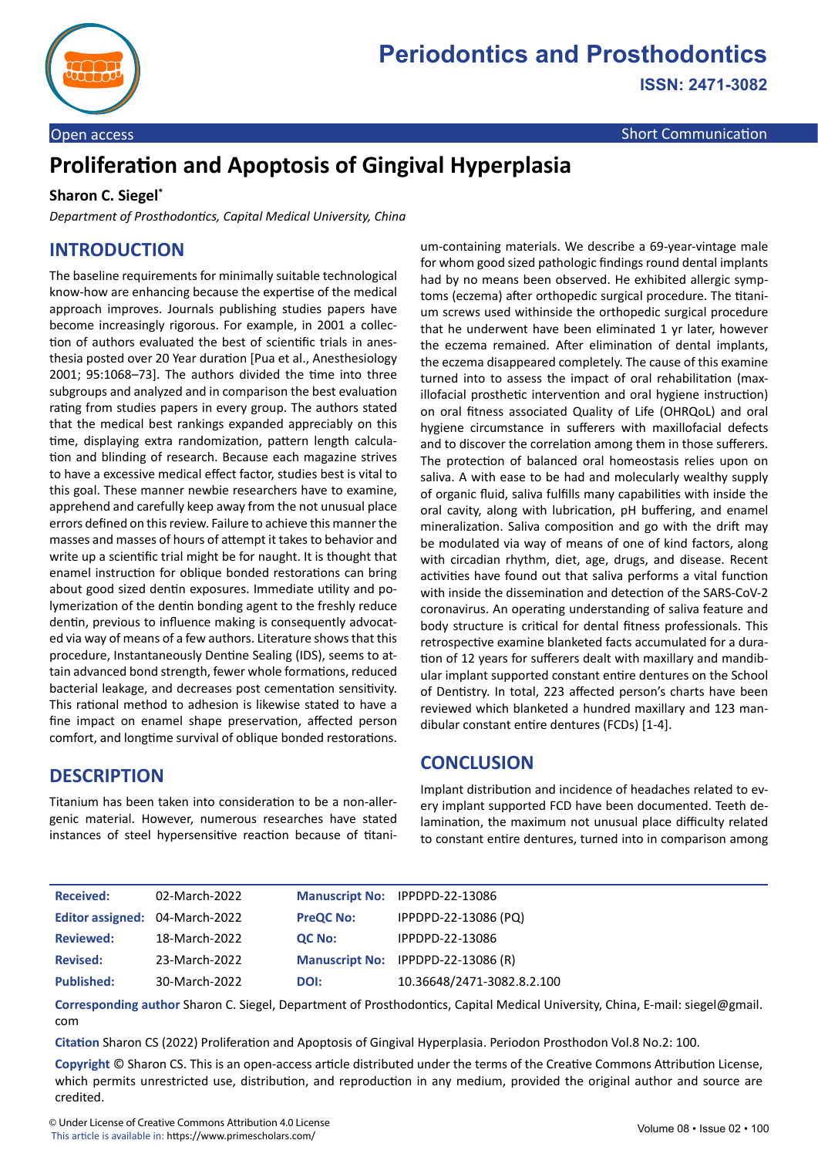

Open access Short Communication Communication Communication Communication

# **Proliferation and Apoptosis of Gingival Hyperplasia**

#### **Sharon C. Siegel\***

*Department of Prosthodontics, Capital Medical University, China*

## **INTRODUCTION**

The baseline requirements for minimally suitable technological know-how are enhancing because the expertise of the medical approach improves. Journals publishing studies papers have become increasingly rigorous. For example, in 2001 a collection of authors evaluated the best of scientific trials in anesthesia posted over 20 Year duration [Pua et al., Anesthesiology 2001; 95:1068–73]. The authors divided the time into three subgroups and analyzed and in comparison the best evaluation rating from studies papers in every group. The authors stated that the medical best rankings expanded appreciably on this time, displaying extra randomization, pattern length calculation and blinding of research. Because each magazine strives to have a excessive medical effect factor, studies best is vital to this goal. These manner newbie researchers have to examine, apprehend and carefully keep away from the not unusual place errors defined on this review. Failure to achieve this manner the masses and masses of hours of attempt it takes to behavior and write up a scientific trial might be for naught. It is thought that enamel instruction for oblique bonded restorations can bring about good sized dentin exposures. Immediate utility and polymerization of the dentin bonding agent to the freshly reduce dentin, previous to influence making is consequently advocated via way of means of a few authors. Literature shows that this procedure, Instantaneously Dentine Sealing (IDS), seems to attain advanced bond strength, fewer whole formations, reduced bacterial leakage, and decreases post cementation sensitivity. This rational method to adhesion is likewise stated to have a fine impact on enamel shape preservation, affected person comfort, and longtime survival of oblique bonded restorations.

**DESCRIPTION**

Titanium has been taken into consideration to be a non-allergenic material. However, numerous researches have stated instances of steel hypersensitive reaction because of titanium-containing materials. We describe a 69-year-vintage male for whom good sized pathologic findings round dental implants had by no means been observed. He exhibited allergic symptoms (eczema) after orthopedic surgical procedure. The titanium screws used withinside the orthopedic surgical procedure that he underwent have been eliminated 1 yr later, however the eczema remained. After elimination of dental implants, the eczema disappeared completely. The cause of this examine turned into to assess the impact of oral rehabilitation (maxillofacial prosthetic intervention and oral hygiene instruction) on oral fitness associated Quality of Life (OHRQoL) and oral hygiene circumstance in sufferers with maxillofacial defects and to discover the correlation among them in those sufferers. The protection of balanced oral homeostasis relies upon on saliva. A with ease to be had and molecularly wealthy supply of organic fluid, saliva fulfills many capabilities with inside the oral cavity, along with lubrication, pH buffering, and enamel mineralization. Saliva composition and go with the drift may be modulated via way of means of one of kind factors, along with circadian rhythm, diet, age, drugs, and disease. Recent activities have found out that saliva performs a vital function with inside the dissemination and detection of the SARS-CoV-2 coronavirus. An operating understanding of saliva feature and body structure is critical for dental fitness professionals. This retrospective examine blanketed facts accumulated for a duration of 12 years for sufferers dealt with maxillary and mandibular implant supported constant entire dentures on the School of Dentistry. In total, 223 affected person's charts have been reviewed which blanketed a hundred maxillary and 123 mandibular constant entire dentures (FCDs) [1-4].

### **CONCLUSION**

Implant distribution and incidence of headaches related to every implant supported FCD have been documented. Teeth delamination, the maximum not unusual place difficulty related to constant entire dentures, turned into in comparison among

| <b>Received:</b>               | 02-March-2022 |                  | Manuscript No: IPPDPD-22-13086     |
|--------------------------------|---------------|------------------|------------------------------------|
| Editor assigned: 04-March-2022 |               | <b>PreQC No:</b> | IPPDPD-22-13086 (PQ)               |
| <b>Reviewed:</b>               | 18-March-2022 | <b>QC No:</b>    | IPPDPD-22-13086                    |
| <b>Revised:</b>                | 23-March-2022 |                  | Manuscript No: IPPDPD-22-13086 (R) |
| <b>Published:</b>              | 30-March-2022 | DOI:             | 10.36648/2471-3082.8.2.100         |

**Corresponding author** Sharon C. Siegel, Department of Prosthodontics, Capital Medical University, China, E-mail: siegel@gmail. com

**Citation** Sharon CS (2022) Proliferation and Apoptosis of Gingival Hyperplasia. Periodon Prosthodon Vol.8 No.2: 100.

**Copyright** © Sharon CS. This is an open-access article distributed under the terms of the Creative Commons Attribution License, which permits unrestricted use, distribution, and reproduction in any medium, provided the original author and source are credited.